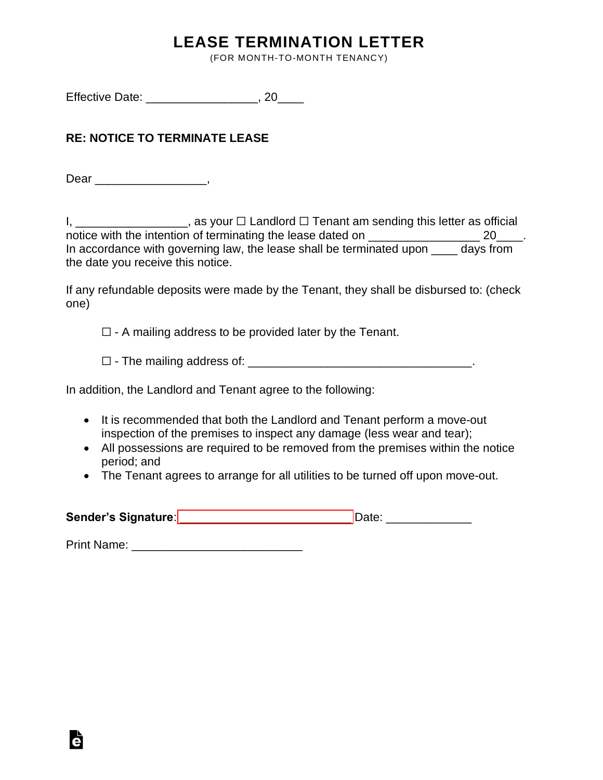## **LEASE TERMINATION LETTER**

(FOR MONTH-TO-MONTH TENANCY)

Effective Date: \_\_\_\_\_\_\_\_\_\_\_\_\_\_\_\_\_, 20\_\_\_\_

## **RE: NOTICE TO TERMINATE LEASE**

Dear \_\_\_\_\_\_\_\_\_\_\_\_\_\_\_\_\_\_\_,

I, \_\_\_\_\_\_\_\_\_\_\_\_\_\_\_\_\_\_\_, as your □ Landlord □ Tenant am sending this letter as official notice with the intention of terminating the lease dated on \_\_\_\_\_\_\_\_\_\_\_\_\_\_\_\_\_\_\_\_ 20\_\_\_\_. In accordance with governing law, the lease shall be terminated upon \_\_\_\_ days from the date you receive this notice.

If any refundable deposits were made by the Tenant, they shall be disbursed to: (check one)

 $\Box$  - A mailing address to be provided later by the Tenant.

☐ - The mailing address of: \_\_\_\_\_\_\_\_\_\_\_\_\_\_\_\_\_\_\_\_\_\_\_\_\_\_\_\_\_\_\_\_\_\_.

In addition, the Landlord and Tenant agree to the following:

- It is recommended that both the Landlord and Tenant perform a move-out inspection of the premises to inspect any damage (less wear and tear);
- All possessions are required to be removed from the premises within the notice period; and
- The Tenant agrees to arrange for all utilities to be turned off upon move-out.

| Sender's Signature: | Date |
|---------------------|------|
|                     |      |

Print Name: **Example 20** 

Ġ